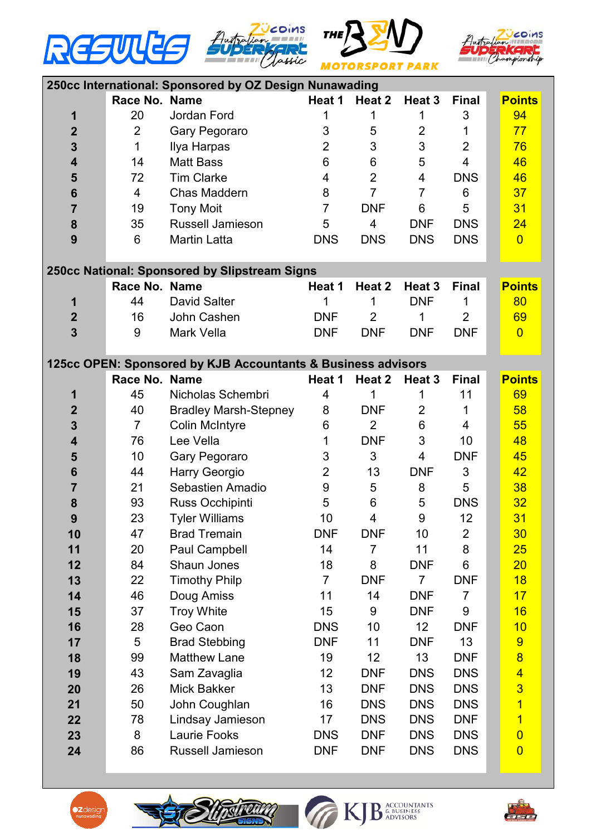







| 250cc International: Sponsored by OZ Design Nunawading       |                |                              |                |                |                   |                |  |                |  |  |  |
|--------------------------------------------------------------|----------------|------------------------------|----------------|----------------|-------------------|----------------|--|----------------|--|--|--|
|                                                              | Race No. Name  |                              | Heat 1         | Heat 2         | Heat 3            | <b>Final</b>   |  | <b>Points</b>  |  |  |  |
| 1                                                            | 20             | Jordan Ford                  | 1              | 1              | 1                 | 3              |  | 94             |  |  |  |
| $\overline{2}$                                               | $\overline{2}$ | Gary Pegoraro                | 3              | 5              | $\overline{2}$    | 1              |  | 77             |  |  |  |
| 3                                                            | 1              | Ilya Harpas                  | $\overline{2}$ | 3              | 3                 | $\overline{2}$ |  | 76             |  |  |  |
| 4                                                            | 14             | <b>Matt Bass</b>             | 6              | 6              | 5                 | $\overline{4}$ |  | 46             |  |  |  |
| 5                                                            | 72             | <b>Tim Clarke</b>            | 4              | $\overline{2}$ | 4                 | <b>DNS</b>     |  | 46             |  |  |  |
| 6                                                            | 4              | Chas Maddern                 | 8              | $\overline{7}$ | $\overline{7}$    | 6              |  | 37             |  |  |  |
| $\overline{7}$                                               | 19             | <b>Tony Moit</b>             | 7              | <b>DNF</b>     | 6                 | 5              |  | 31             |  |  |  |
| $\bf{8}$                                                     | 35             | Russell Jamieson             | 5              | 4              | <b>DNF</b>        | <b>DNS</b>     |  | 24             |  |  |  |
| 9                                                            | 6              | <b>Martin Latta</b>          | <b>DNS</b>     | <b>DNS</b>     | <b>DNS</b>        | <b>DNS</b>     |  | $\overline{0}$ |  |  |  |
|                                                              |                |                              |                |                |                   |                |  |                |  |  |  |
| 250cc National: Sponsored by Slipstream Signs                |                |                              |                |                |                   |                |  |                |  |  |  |
|                                                              | Race No. Name  |                              | Heat 1         | Heat 2         | Heat <sub>3</sub> | <b>Final</b>   |  | <b>Points</b>  |  |  |  |
| 1                                                            | 44             | <b>David Salter</b>          | 1              | 1              | <b>DNF</b>        | 1              |  | 80             |  |  |  |
| $\mathbf{2}$                                                 | 16             | John Cashen                  | <b>DNF</b>     | $\overline{2}$ | 1                 | $\overline{2}$ |  | 69             |  |  |  |
| 3                                                            | 9              | Mark Vella                   | <b>DNF</b>     | <b>DNF</b>     | <b>DNF</b>        | <b>DNF</b>     |  | $\overline{0}$ |  |  |  |
|                                                              |                |                              |                |                |                   |                |  |                |  |  |  |
| 125cc OPEN: Sponsored by KJB Accountants & Business advisors |                |                              |                |                |                   |                |  |                |  |  |  |
|                                                              | Race No. Name  |                              | Heat 1         | Heat 2         | Heat 3            | <b>Final</b>   |  | <b>Points</b>  |  |  |  |
| 1                                                            | 45             | Nicholas Schembri            | 4              |                | 1                 | 11             |  | 69             |  |  |  |
| $\mathbf 2$                                                  | 40             | <b>Bradley Marsh-Stepney</b> | 8              | <b>DNF</b>     | $\overline{2}$    | 1              |  | 58             |  |  |  |
| 3                                                            | $\overline{7}$ | <b>Colin McIntyre</b>        | 6              | $\overline{2}$ | $6\phantom{1}6$   | 4              |  | 55             |  |  |  |
| 4                                                            | 76             | Lee Vella                    | 1              | <b>DNF</b>     | 3                 | 10             |  | 48             |  |  |  |
| 5                                                            | 10             | Gary Pegoraro                | 3              | 3              | 4                 | <b>DNF</b>     |  | 45             |  |  |  |
| 6                                                            | 44             | Harry Georgio                | $\overline{2}$ | 13             | <b>DNF</b>        | 3              |  | 42             |  |  |  |
| 7                                                            | 21             | <b>Sebastien Amadio</b>      | 9              | 5              | 8                 | 5              |  | 38             |  |  |  |
| 8                                                            | 93             | Russ Occhipinti              | 5              | 6              | 5                 | <b>DNS</b>     |  | 32             |  |  |  |
| 9                                                            | 23             | <b>Tyler Williams</b>        | 10             | 4              | 9                 | 12             |  | 31             |  |  |  |
| 10                                                           | 47             | <b>Brad Tremain</b>          | <b>DNF</b>     | <b>DNF</b>     | 10                | $\overline{2}$ |  | 30             |  |  |  |
| 11                                                           | 20             | Paul Campbell                | 14             | $\overline{7}$ | 11                | 8              |  | 25             |  |  |  |
| 12                                                           | 84             | Shaun Jones                  | 18             | 8              | <b>DNF</b>        | 6              |  | 20             |  |  |  |
| 13                                                           | 22             | <b>Timothy Philp</b>         | $\overline{7}$ | <b>DNF</b>     | 7                 | <b>DNF</b>     |  | 18             |  |  |  |
| 14                                                           | 46             | Doug Amiss                   | 11             | 14             | <b>DNF</b>        | $\overline{7}$ |  | 17             |  |  |  |
| 15                                                           | 37             | <b>Troy White</b>            | 15             | 9              | <b>DNF</b>        | 9              |  | 16             |  |  |  |
| 16                                                           | 28             | Geo Caon                     | <b>DNS</b>     | 10             | 12                | <b>DNF</b>     |  | 10             |  |  |  |
| 17                                                           | 5              | <b>Brad Stebbing</b>         | <b>DNF</b>     | 11             | <b>DNF</b>        | 13             |  | 9              |  |  |  |
| 18                                                           | 99             | <b>Matthew Lane</b>          | 19             | 12             | 13                | <b>DNF</b>     |  | $\overline{8}$ |  |  |  |
| 19                                                           | 43             | Sam Zavaglia                 | 12             | <b>DNF</b>     | <b>DNS</b>        | <b>DNS</b>     |  | $\overline{4}$ |  |  |  |
| 20                                                           | 26             | <b>Mick Bakker</b>           | 13             | <b>DNF</b>     | <b>DNS</b>        | <b>DNS</b>     |  | $\overline{3}$ |  |  |  |
| 21                                                           | 50             | John Coughlan                | 16             | <b>DNS</b>     | <b>DNS</b>        | <b>DNS</b>     |  | $\overline{1}$ |  |  |  |
| 22                                                           | 78             | Lindsay Jamieson             | 17             | <b>DNS</b>     | <b>DNS</b>        | <b>DNF</b>     |  | $\overline{1}$ |  |  |  |
| 23                                                           | 8              | Laurie Fooks                 | <b>DNS</b>     | <b>DNF</b>     | <b>DNS</b>        | <b>DNS</b>     |  | $\overline{0}$ |  |  |  |
| 24                                                           | 86             | Russell Jamieson             | <b>DNF</b>     | <b>DNF</b>     | <b>DNS</b>        | <b>DNS</b>     |  | $\overline{0}$ |  |  |  |
|                                                              |                |                              |                |                |                   |                |  |                |  |  |  |





KJB ACCOUNTANTS